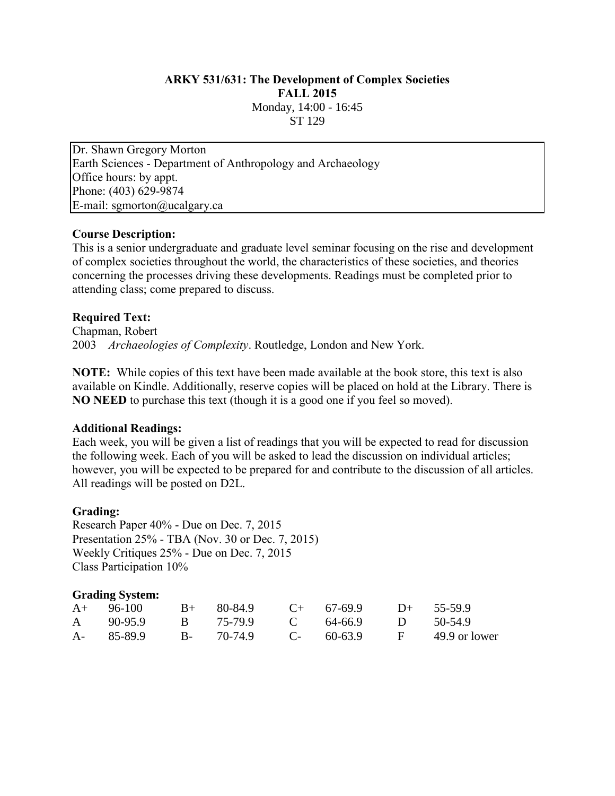# **ARKY 531/631: The Development of Complex Societies FALL 2015** Monday, 14:00 - 16:45 ST 129

Dr. Shawn Gregory Morton Earth Sciences - Department of Anthropology and Archaeology Office hours: by appt. Phone: (403) 629-9874 E-mail: sgmorton@ucalgary.ca

## **Course Description:**

This is a senior undergraduate and graduate level seminar focusing on the rise and development of complex societies throughout the world, the characteristics of these societies, and theories concerning the processes driving these developments. Readings must be completed prior to attending class; come prepared to discuss.

#### **Required Text:**

Chapman, Robert 2003 *Archaeologies of Complexity*. Routledge, London and New York.

**NOTE:** While copies of this text have been made available at the book store, this text is also available on Kindle. Additionally, reserve copies will be placed on hold at the Library. There is **NO NEED** to purchase this text (though it is a good one if you feel so moved).

#### **Additional Readings:**

Each week, you will be given a list of readings that you will be expected to read for discussion the following week. Each of you will be asked to lead the discussion on individual articles; however, you will be expected to be prepared for and contribute to the discussion of all articles. All readings will be posted on D2L.

## **Grading:**

Research Paper 40% - Due on Dec. 7, 2015 Presentation 25% - TBA (Nov. 30 or Dec. 7, 2015) Weekly Critiques 25% - Due on Dec. 7, 2015 Class Participation 10%

## **Grading System:**

| $A+ 96-100$                                      |  | $B+$ 80-84.9 C+ 67-69.9 D+ 55-59.9 |  |
|--------------------------------------------------|--|------------------------------------|--|
| A 90-95.9 B 75-79.9 C 64-66.9 D 50-54.9          |  |                                    |  |
| A- 85-89.9 B- 70-74.9 C- 60-63.9 F 49.9 or lower |  |                                    |  |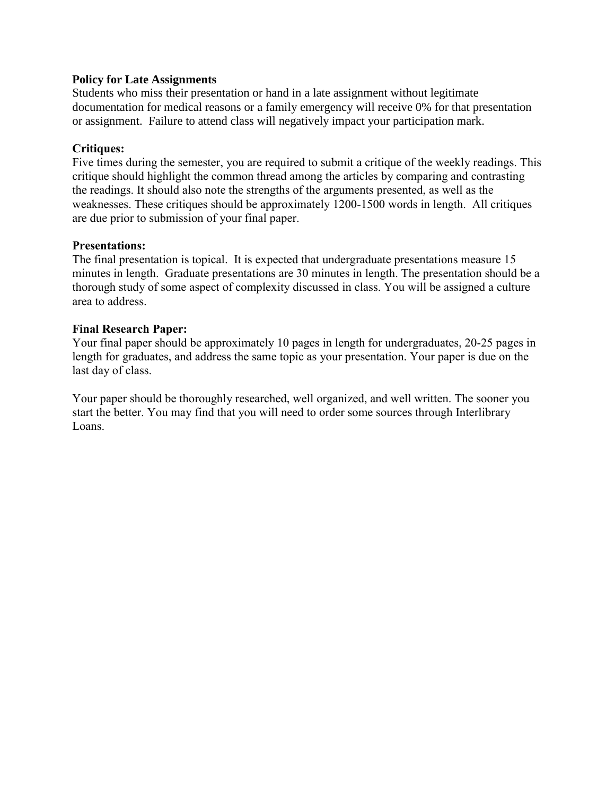## **Policy for Late Assignments**

Students who miss their presentation or hand in a late assignment without legitimate documentation for medical reasons or a family emergency will receive 0% for that presentation or assignment. Failure to attend class will negatively impact your participation mark.

#### **Critiques:**

Five times during the semester, you are required to submit a critique of the weekly readings. This critique should highlight the common thread among the articles by comparing and contrasting the readings. It should also note the strengths of the arguments presented, as well as the weaknesses. These critiques should be approximately 1200-1500 words in length. All critiques are due prior to submission of your final paper.

#### **Presentations:**

The final presentation is topical. It is expected that undergraduate presentations measure 15 minutes in length. Graduate presentations are 30 minutes in length. The presentation should be a thorough study of some aspect of complexity discussed in class. You will be assigned a culture area to address.

#### **Final Research Paper:**

Your final paper should be approximately 10 pages in length for undergraduates, 20-25 pages in length for graduates, and address the same topic as your presentation. Your paper is due on the last day of class.

Your paper should be thoroughly researched, well organized, and well written. The sooner you start the better. You may find that you will need to order some sources through Interlibrary Loans.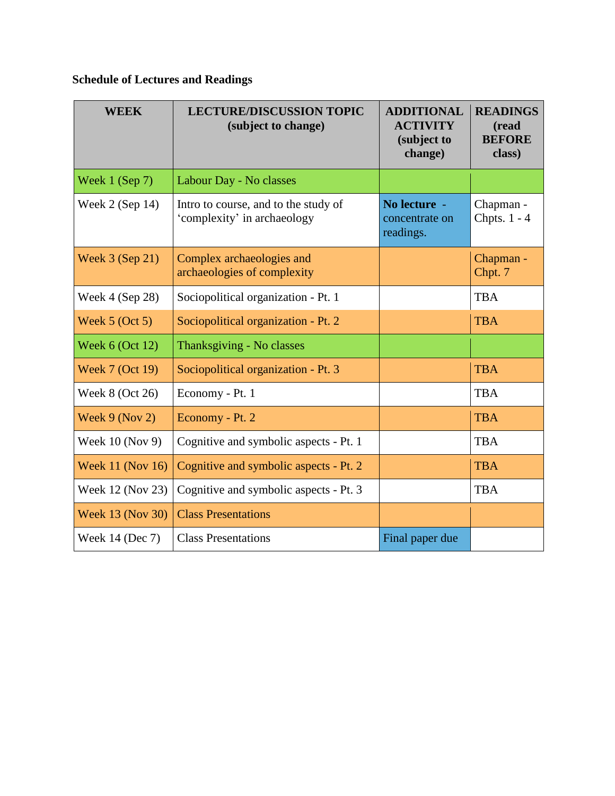# **Schedule of Lectures and Readings**

| WEEK                   | <b>LECTURE/DISCUSSION TOPIC</b><br>(subject to change)              | <b>ADDITIONAL</b><br><b>ACTIVITY</b><br>(subject to<br>change) | <b>READINGS</b><br>(read<br><b>BEFORE</b><br>class) |
|------------------------|---------------------------------------------------------------------|----------------------------------------------------------------|-----------------------------------------------------|
| Week $1$ (Sep 7)       | Labour Day - No classes                                             |                                                                |                                                     |
| Week $2$ (Sep 14)      | Intro to course, and to the study of<br>'complexity' in archaeology | No lecture -<br>concentrate on<br>readings.                    | Chapman -<br>Chpts. 1 - 4                           |
| Week $3$ (Sep 21)      | Complex archaeologies and<br>archaeologies of complexity            |                                                                | Chapman -<br>Chpt. 7                                |
| Week 4 (Sep 28)        | Sociopolitical organization - Pt. 1                                 |                                                                | <b>TBA</b>                                          |
| Week $5$ (Oct $5$ )    | Sociopolitical organization - Pt. 2                                 |                                                                | <b>TBA</b>                                          |
| Week $6$ (Oct 12)      | Thanksgiving - No classes                                           |                                                                |                                                     |
| <b>Week 7 (Oct 19)</b> | Sociopolitical organization - Pt. 3                                 |                                                                | <b>TBA</b>                                          |
| Week 8 (Oct 26)        | Economy - Pt. 1                                                     |                                                                | <b>TBA</b>                                          |
| Week $9$ (Nov 2)       | Economy - Pt. 2                                                     |                                                                | <b>TBA</b>                                          |
| Week 10 (Nov 9)        | Cognitive and symbolic aspects - Pt. 1                              |                                                                | <b>TBA</b>                                          |
| Week 11 (Nov 16)       | Cognitive and symbolic aspects - Pt. 2                              |                                                                | <b>TBA</b>                                          |
| Week 12 (Nov 23)       | Cognitive and symbolic aspects - Pt. 3                              |                                                                | <b>TBA</b>                                          |
| Week 13 (Nov 30)       | <b>Class Presentations</b>                                          |                                                                |                                                     |
| Week 14 (Dec 7)        | <b>Class Presentations</b>                                          | Final paper due                                                |                                                     |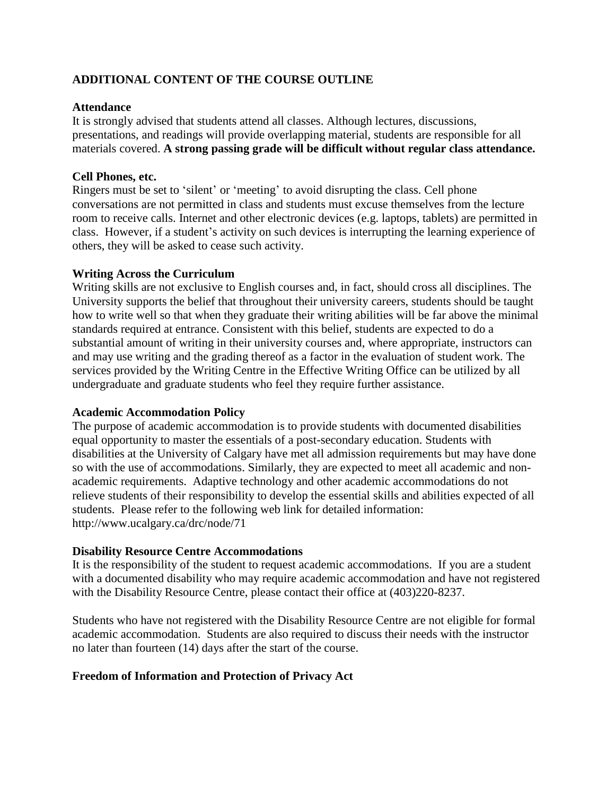# **ADDITIONAL CONTENT OF THE COURSE OUTLINE**

# **Attendance**

It is strongly advised that students attend all classes. Although lectures, discussions, presentations, and readings will provide overlapping material, students are responsible for all materials covered. **A strong passing grade will be difficult without regular class attendance.**

# **Cell Phones, etc.**

Ringers must be set to 'silent' or 'meeting' to avoid disrupting the class. Cell phone conversations are not permitted in class and students must excuse themselves from the lecture room to receive calls. Internet and other electronic devices (e.g. laptops, tablets) are permitted in class. However, if a student's activity on such devices is interrupting the learning experience of others, they will be asked to cease such activity.

# **Writing Across the Curriculum**

Writing skills are not exclusive to English courses and, in fact, should cross all disciplines. The University supports the belief that throughout their university careers, students should be taught how to write well so that when they graduate their writing abilities will be far above the minimal standards required at entrance. Consistent with this belief, students are expected to do a substantial amount of writing in their university courses and, where appropriate, instructors can and may use writing and the grading thereof as a factor in the evaluation of student work. The services provided by the Writing Centre in the Effective Writing Office can be utilized by all undergraduate and graduate students who feel they require further assistance.

## **Academic Accommodation Policy**

The purpose of academic accommodation is to provide students with documented disabilities equal opportunity to master the essentials of a post-secondary education. Students with disabilities at the University of Calgary have met all admission requirements but may have done so with the use of accommodations. Similarly, they are expected to meet all academic and nonacademic requirements. Adaptive technology and other academic accommodations do not relieve students of their responsibility to develop the essential skills and abilities expected of all students. Please refer to the following web link for detailed information: http://www.ucalgary.ca/drc/node/71

## **Disability Resource Centre Accommodations**

It is the responsibility of the student to request academic accommodations. If you are a student with a documented disability who may require academic accommodation and have not registered with the Disability Resource Centre, please contact their office at  $(403)220-8237$ .

Students who have not registered with the Disability Resource Centre are not eligible for formal academic accommodation. Students are also required to discuss their needs with the instructor no later than fourteen (14) days after the start of the course.

# **Freedom of Information and Protection of Privacy Act**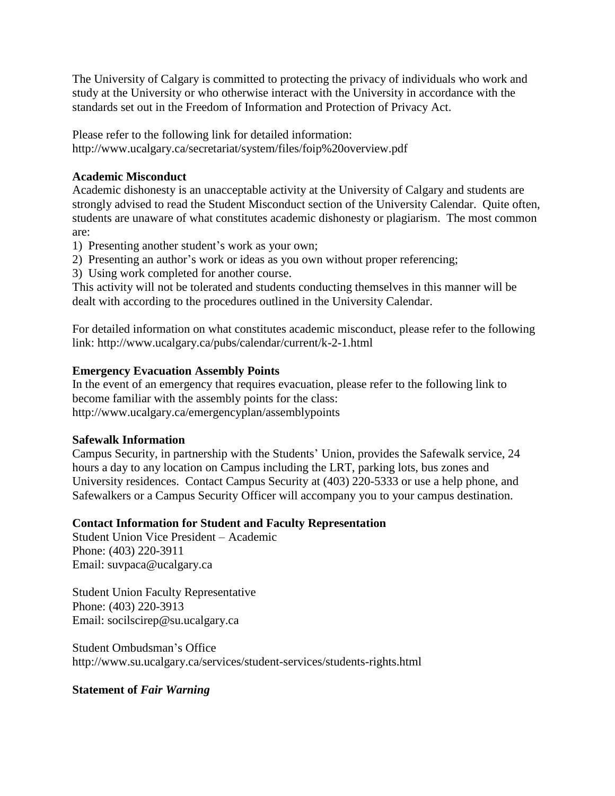The University of Calgary is committed to protecting the privacy of individuals who work and study at the University or who otherwise interact with the University in accordance with the standards set out in the Freedom of Information and Protection of Privacy Act.

Please refer to the following link for detailed information: http://www.ucalgary.ca/secretariat/system/files/foip%20overview.pdf

# **Academic Misconduct**

Academic dishonesty is an unacceptable activity at the University of Calgary and students are strongly advised to read the Student Misconduct section of the University Calendar. Quite often, students are unaware of what constitutes academic dishonesty or plagiarism. The most common are:

1) Presenting another student's work as your own;

- 2) Presenting an author's work or ideas as you own without proper referencing;
- 3) Using work completed for another course.

This activity will not be tolerated and students conducting themselves in this manner will be dealt with according to the procedures outlined in the University Calendar.

For detailed information on what constitutes academic misconduct, please refer to the following link: http://www.ucalgary.ca/pubs/calendar/current/k-2-1.html

# **Emergency Evacuation Assembly Points**

In the event of an emergency that requires evacuation, please refer to the following link to become familiar with the assembly points for the class: http://www.ucalgary.ca/emergencyplan/assemblypoints

# **Safewalk Information**

Campus Security, in partnership with the Students' Union, provides the Safewalk service, 24 hours a day to any location on Campus including the LRT, parking lots, bus zones and University residences. Contact Campus Security at (403) 220-5333 or use a help phone, and Safewalkers or a Campus Security Officer will accompany you to your campus destination.

# **Contact Information for Student and Faculty Representation**

Student Union Vice President – Academic Phone: (403) 220-3911 Email: suvpaca@ucalgary.ca

Student Union Faculty Representative Phone: (403) 220-3913 Email: socilscirep@su.ucalgary.ca

Student Ombudsman's Office http://www.su.ucalgary.ca/services/student-services/students-rights.html

# **Statement of** *Fair Warning*